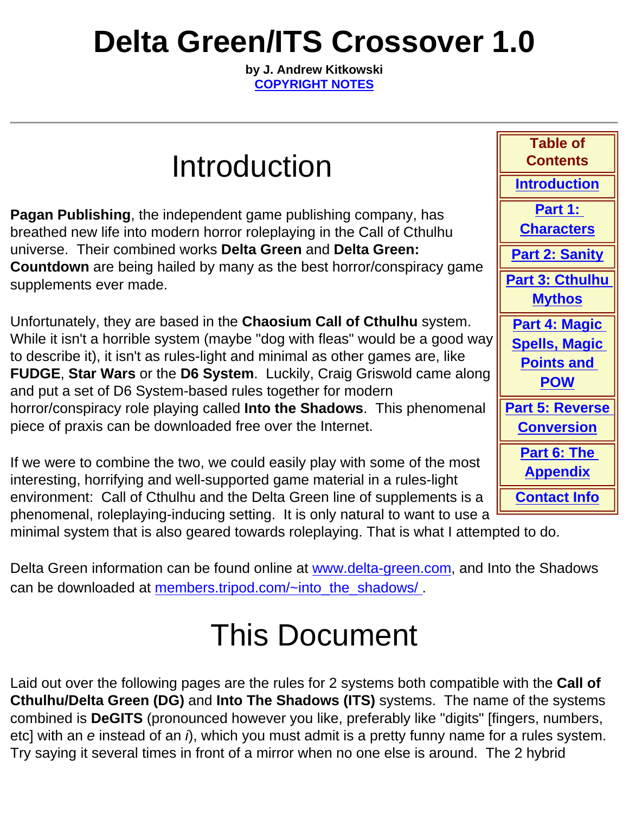# **Delta Green/ITS Crossover 1.0**

**by J. Andrew Kitkowski [COPYRIGHT NOTES](#page-16-0)**

### Introduction

**Pagan Publishing**, the independent game publishing company, has breathed new life into modern horror roleplaying in the Call of Cthulhu universe. Their combined works **Delta Green** and **Delta Green: Countdown** are being hailed by many as the best horror/conspiracy game supplements ever made.

Unfortunately, they are based in the **Chaosium Call of Cthulhu** system. While it isn't a horrible system (maybe "dog with fleas" would be a good way to describe it), it isn't as rules-light and minimal as other games are, like **FUDGE**, **Star Wars** or the **D6 System**. Luckily, Craig Griswold came along and put a set of D6 System-based rules together for modern horror/conspiracy role playing called **Into the Shadows**. This phenomenal piece of praxis can be downloaded free over the Internet.

If we were to combine the two, we could easily play with some of the most interesting, horrifying and well-supported game material in a rules-light environment: Call of Cthulhu and the Delta Green line of supplements is a phenomenal, roleplaying-inducing setting. It is only natural to want to use a

**Table of Contents [Introduction](#page-0-0) [Part 1:](#page-1-0)  [Characters](#page-1-0) [Part 2: Sanity](#page-5-0) Part 3: Cthulhu [Mythos](#page-11-0) [Part 4: Magic](#page-13-0) [Spells, Magic](#page-13-0) [Points and](#page-13-0)  [POW](#page-13-0) [Part 5: Reverse](#page-15-0)  [Conversion](#page-15-0) [Part 6: The](#page-15-1)  [Appendix](#page-15-1) [Contact Info](#page-16-1)**

<span id="page-0-0"></span>minimal system that is also geared towards roleplaying. That is what I attempted to do.

Delta Green information can be found online at [www.delta-green.com,](http://www.delta-green.com/) and Into the Shadows can be downloaded at [members.tripod.com/~into\\_the\\_shadows/](http://members.tripod.com/~into_the_shadows/).

## This Document

Laid out over the following pages are the rules for 2 systems both compatible with the **Call of Cthulhu/Delta Green (DG)** and **Into The Shadows (ITS)** systems. The name of the systems combined is **DeGITS** (pronounced however you like, preferably like "digits" [fingers, numbers, etc] with an *e* instead of an *i*), which you must admit is a pretty funny name for a rules system. Try saying it several times in front of a mirror when no one else is around. The 2 hybrid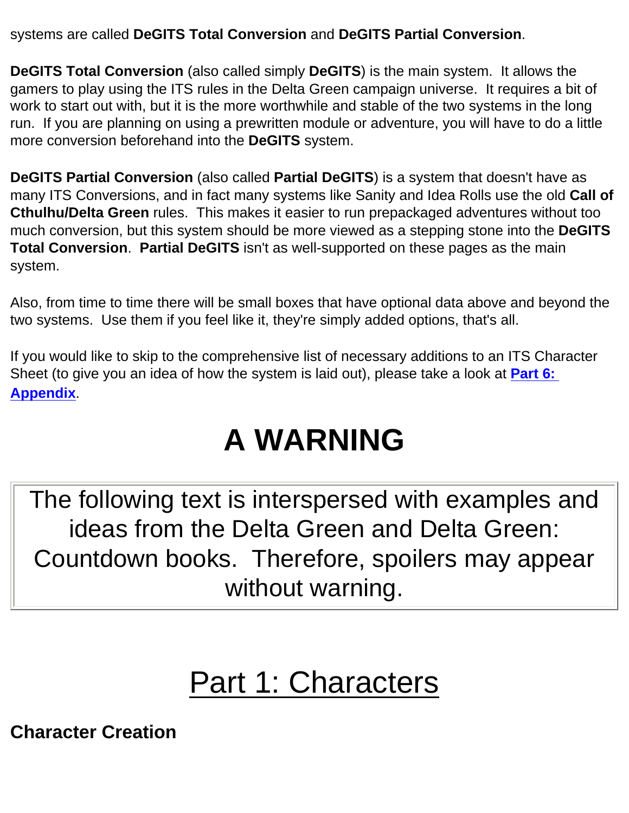systems are called **DeGITS Total Conversion** and **DeGITS Partial Conversion**.

**DeGITS Total Conversion** (also called simply **DeGITS**) is the main system. It allows the gamers to play using the ITS rules in the Delta Green campaign universe. It requires a bit of work to start out with, but it is the more worthwhile and stable of the two systems in the long run. If you are planning on using a prewritten module or adventure, you will have to do a little more conversion beforehand into the **DeGITS** system.

**DeGITS Partial Conversion** (also called **Partial DeGITS**) is a system that doesn't have as many ITS Conversions, and in fact many systems like Sanity and Idea Rolls use the old **Call of Cthulhu/Delta Green** rules. This makes it easier to run prepackaged adventures without too much conversion, but this system should be more viewed as a stepping stone into the **DeGITS Total Conversion**. **Partial DeGITS** isn't as well-supported on these pages as the main system.

Also, from time to time there will be small boxes that have optional data above and beyond the two systems. Use them if you feel like it, they're simply added options, that's all.

If you would like to skip to the comprehensive list of necessary additions to an ITS Character Sheet (to give you an idea of how the system is laid out), please take a look at **[Part 6:](#page-15-1)  [Appendix](#page-15-1)**.

# **A WARNING**

The following text is interspersed with examples and ideas from the Delta Green and Delta Green: Countdown books. Therefore, spoilers may appear without warning.

## Part 1: Characters

<span id="page-1-0"></span>**Character Creation**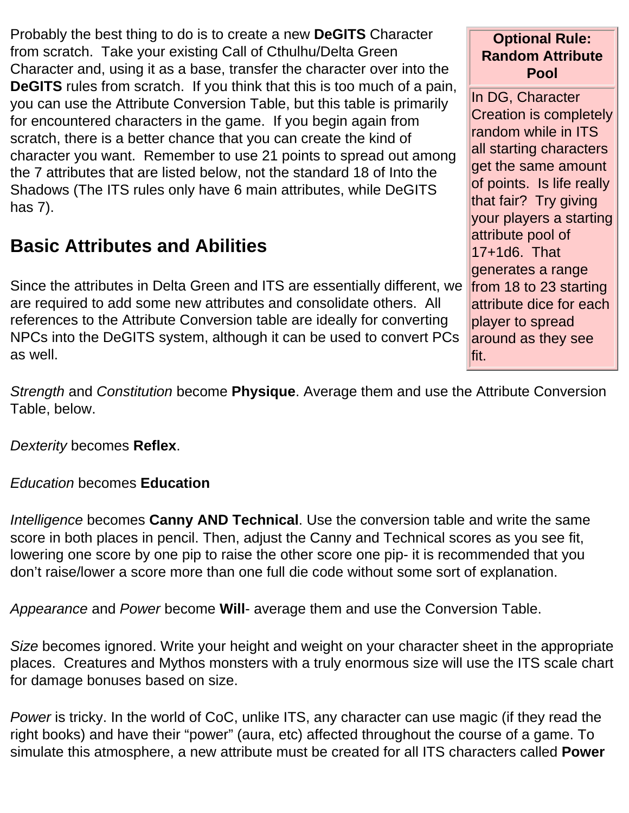Probably the best thing to do is to create a new **DeGITS** Character from scratch. Take your existing Call of Cthulhu/Delta Green Character and, using it as a base, transfer the character over into the **DeGITS** rules from scratch. If you think that this is too much of a pain, you can use the Attribute Conversion Table, but this table is primarily for encountered characters in the game. If you begin again from scratch, there is a better chance that you can create the kind of character you want. Remember to use 21 points to spread out among the 7 attributes that are listed below, not the standard 18 of Into the Shadows (The ITS rules only have 6 main attributes, while DeGITS has 7).

### **Basic Attributes and Abilities**

Since the attributes in Delta Green and ITS are essentially different, we are required to add some new attributes and consolidate others. All references to the Attribute Conversion table are ideally for converting NPCs into the DeGITS system, although it can be used to convert PCs as well.

**Optional Rule: Random Attribute Pool**

In DG, Character Creation is completely random while in ITS all starting characters get the same amount of points. Is life really that fair? Try giving your players a starting attribute pool of 17+1d6. That generates a range from 18 to 23 starting attribute dice for each player to spread around as they see fit.

*Strength* and *Constitution* become **Physique**. Average them and use the Attribute Conversion Table, below.

*Dexterity* becomes **Reflex**.

#### *Education* becomes **Education**

*Intelligence* becomes **Canny AND Technical**. Use the conversion table and write the same score in both places in pencil. Then, adjust the Canny and Technical scores as you see fit, lowering one score by one pip to raise the other score one pip- it is recommended that you don't raise/lower a score more than one full die code without some sort of explanation.

*Appearance* and *Power* become **Will**- average them and use the Conversion Table.

*Size* becomes ignored. Write your height and weight on your character sheet in the appropriate places. Creatures and Mythos monsters with a truly enormous size will use the ITS scale chart for damage bonuses based on size.

*Power* is tricky. In the world of CoC, unlike ITS, any character can use magic (if they read the right books) and have their "power" (aura, etc) affected throughout the course of a game. To simulate this atmosphere, a new attribute must be created for all ITS characters called **Power**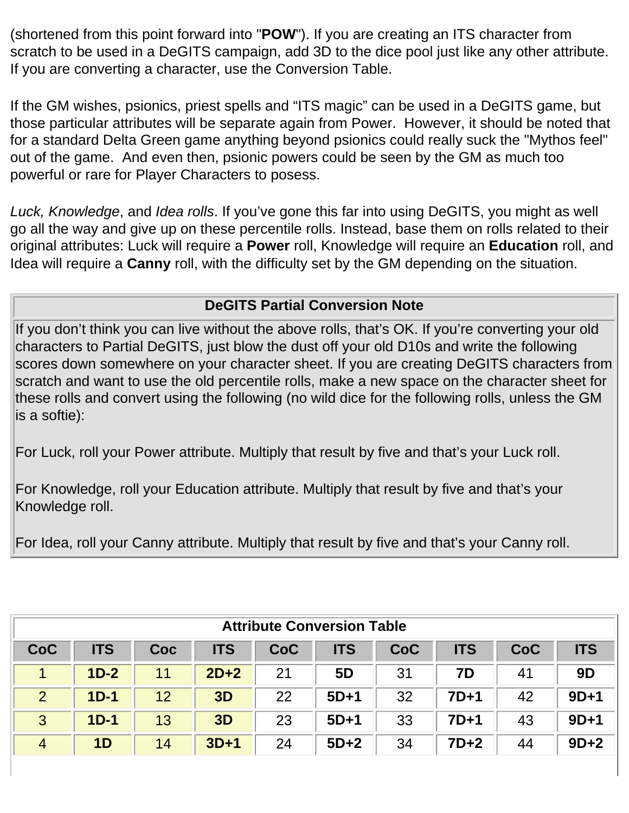(shortened from this point forward into "**POW**"). If you are creating an ITS character from scratch to be used in a DeGITS campaign, add 3D to the dice pool just like any other attribute. If you are converting a character, use the Conversion Table.

If the GM wishes, psionics, priest spells and "ITS magic" can be used in a DeGITS game, but those particular attributes will be separate again from Power. However, it should be noted that for a standard Delta Green game anything beyond psionics could really suck the "Mythos feel" out of the game. And even then, psionic powers could be seen by the GM as much too powerful or rare for Player Characters to posess.

*Luck, Knowledge*, and *Idea rolls*. If you've gone this far into using DeGITS, you might as well go all the way and give up on these percentile rolls. Instead, base them on rolls related to their original attributes: Luck will require a **Power** roll, Knowledge will require an **Education** roll, and Idea will require a **Canny** roll, with the difficulty set by the GM depending on the situation.

#### **DeGITS Partial Conversion Note**

If you don't think you can live without the above rolls, that's OK. If you're converting your old characters to Partial DeGITS, just blow the dust off your old D10s and write the following scores down somewhere on your character sheet. If you are creating DeGITS characters from scratch and want to use the old percentile rolls, make a new space on the character sheet for these rolls and convert using the following (no wild dice for the following rolls, unless the GM is a softie):

For Luck, roll your Power attribute. Multiply that result by five and that's your Luck roll.

For Knowledge, roll your Education attribute. Multiply that result by five and that's your Knowledge roll.

For Idea, roll your Canny attribute. Multiply that result by five and that's your Canny roll.

| <b>Attribute Conversion Table</b> |                |     |            |            |                |            |            |     |            |
|-----------------------------------|----------------|-----|------------|------------|----------------|------------|------------|-----|------------|
| <b>CoC</b>                        | <b>ITS</b>     | Coc | <b>ITS</b> | <b>CoC</b> | <b>ITS</b>     | <b>CoC</b> | <b>ITS</b> | CoC | <b>ITS</b> |
|                                   | $1D-2$         | 11  | $2D+2$     | 21         | 5 <sub>D</sub> | 31         | 7D         | 41  | 9D         |
| 2                                 | $1D-1$         | 12  | 3D         | 22         | $5D+1$         | 32         | $7D+1$     | 42  | $9D+1$     |
| 3                                 | $1D-1$         | 13  | 3D         | 23         | $5D+1$         | 33         | $7D+1$     | 43  | $9D+1$     |
| $\overline{4}$                    | 1 <sub>D</sub> | 14  | $3D+1$     | 24         | $5D+2$         | 34         | $7D+2$     | 44  | $9D+2$     |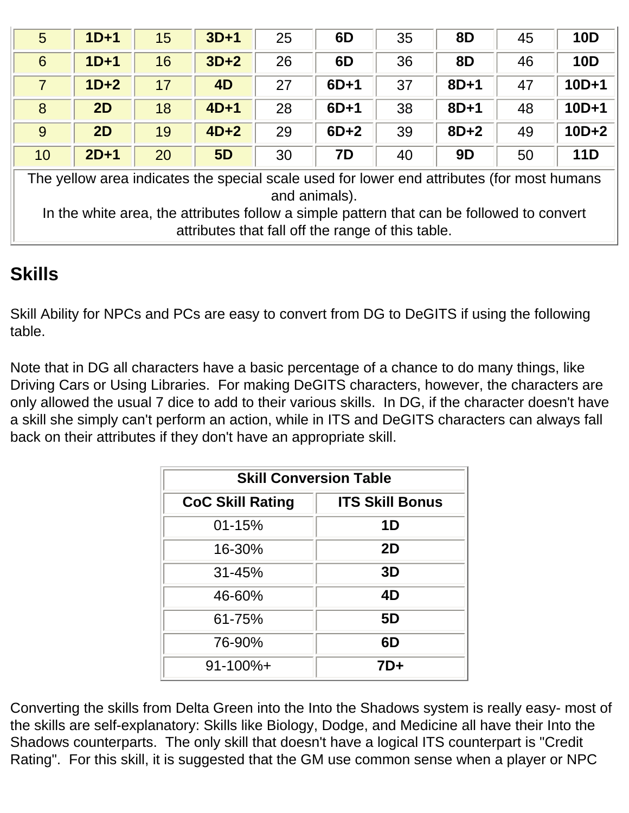| 5                                                                                                           | $1D+1$ | 15 | $3D+1$    | 25 | 6D     | 35 | <b>8D</b> | 45 | <b>10D</b> |
|-------------------------------------------------------------------------------------------------------------|--------|----|-----------|----|--------|----|-----------|----|------------|
| 6                                                                                                           | $1D+1$ | 16 | $3D+2$    | 26 | 6D     | 36 | <b>8D</b> | 46 | <b>10D</b> |
| $\overline{7}$                                                                                              | $1D+2$ | 17 | 4D        | 27 | $6D+1$ | 37 | $8D+1$    | 47 | $10D+1$    |
| 8                                                                                                           | 2D     | 18 | $4D+1$    | 28 | $6D+1$ | 38 | $8D+1$    | 48 | $10D+1$    |
| 9                                                                                                           | 2D     | 19 | $4D+2$    | 29 | $6D+2$ | 39 | $8D+2$    | 49 | $10D+2$    |
| 10                                                                                                          | $2D+1$ | 20 | <b>5D</b> | 30 | 7D     | 40 | 9D        | 50 | <b>11D</b> |
| The yellow area indicates the special scale used for lower end attributes (for most humans<br>and animals). |        |    |           |    |        |    |           |    |            |

In the white area, the attributes follow a simple pattern that can be followed to convert attributes that fall off the range of this table.

### **Skills**

Skill Ability for NPCs and PCs are easy to convert from DG to DeGITS if using the following table.

Note that in DG all characters have a basic percentage of a chance to do many things, like Driving Cars or Using Libraries. For making DeGITS characters, however, the characters are only allowed the usual 7 dice to add to their various skills. In DG, if the character doesn't have a skill she simply can't perform an action, while in ITS and DeGITS characters can always fall back on their attributes if they don't have an appropriate skill.

| <b>Skill Conversion Table</b>                     |     |  |  |
|---------------------------------------------------|-----|--|--|
| <b>CoC Skill Rating</b><br><b>ITS Skill Bonus</b> |     |  |  |
| 01-15%                                            | 1D  |  |  |
| 16-30%                                            | 2D  |  |  |
| $31 - 45%$                                        | 3D  |  |  |
| 46-60%                                            | 4D  |  |  |
| 61-75%                                            | 5D  |  |  |
| 76-90%                                            | 6D  |  |  |
| $91 - 100\% +$                                    | 7D+ |  |  |

Converting the skills from Delta Green into the Into the Shadows system is really easy- most of the skills are self-explanatory: Skills like Biology, Dodge, and Medicine all have their Into the Shadows counterparts. The only skill that doesn't have a logical ITS counterpart is "Credit Rating". For this skill, it is suggested that the GM use common sense when a player or NPC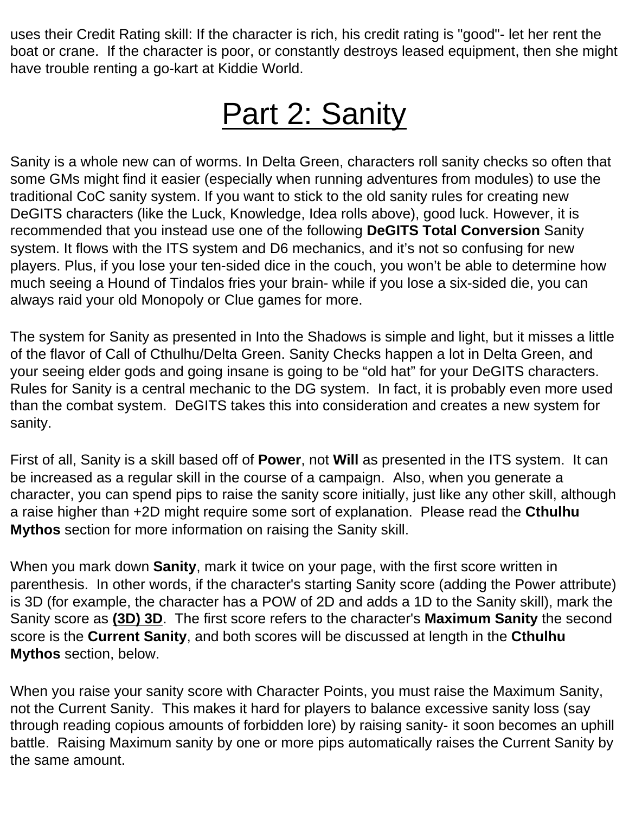uses their Credit Rating skill: If the character is rich, his credit rating is "good"- let her rent the boat or crane. If the character is poor, or constantly destroys leased equipment, then she might have trouble renting a go-kart at Kiddie World.

## Part 2: Sanity

<span id="page-5-0"></span>Sanity is a whole new can of worms. In Delta Green, characters roll sanity checks so often that some GMs might find it easier (especially when running adventures from modules) to use the traditional CoC sanity system. If you want to stick to the old sanity rules for creating new DeGITS characters (like the Luck, Knowledge, Idea rolls above), good luck. However, it is recommended that you instead use one of the following **DeGITS Total Conversion** Sanity system. It flows with the ITS system and D6 mechanics, and it's not so confusing for new players. Plus, if you lose your ten-sided dice in the couch, you won't be able to determine how much seeing a Hound of Tindalos fries your brain- while if you lose a six-sided die, you can always raid your old Monopoly or Clue games for more.

The system for Sanity as presented in Into the Shadows is simple and light, but it misses a little of the flavor of Call of Cthulhu/Delta Green. Sanity Checks happen a lot in Delta Green, and your seeing elder gods and going insane is going to be "old hat" for your DeGITS characters. Rules for Sanity is a central mechanic to the DG system. In fact, it is probably even more used than the combat system. DeGITS takes this into consideration and creates a new system for sanity.

First of all, Sanity is a skill based off of **Power**, not **Will** as presented in the ITS system. It can be increased as a regular skill in the course of a campaign. Also, when you generate a character, you can spend pips to raise the sanity score initially, just like any other skill, although a raise higher than +2D might require some sort of explanation. Please read the **Cthulhu Mythos** section for more information on raising the Sanity skill.

When you mark down **Sanity**, mark it twice on your page, with the first score written in parenthesis. In other words, if the character's starting Sanity score (adding the Power attribute) is 3D (for example, the character has a POW of 2D and adds a 1D to the Sanity skill), mark the Sanity score as **(3D) 3D**. The first score refers to the character's **Maximum Sanity** the second score is the **Current Sanity**, and both scores will be discussed at length in the **Cthulhu Mythos** section, below.

When you raise your sanity score with Character Points, you must raise the Maximum Sanity, not the Current Sanity. This makes it hard for players to balance excessive sanity loss (say through reading copious amounts of forbidden lore) by raising sanity- it soon becomes an uphill battle. Raising Maximum sanity by one or more pips automatically raises the Current Sanity by the same amount.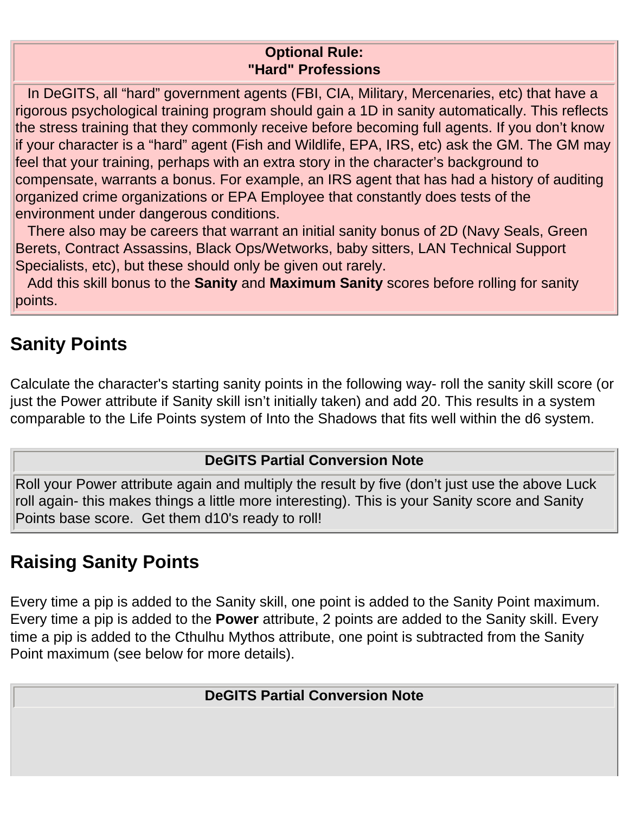#### **Optional Rule: "Hard" Professions**

 In DeGITS, all "hard" government agents (FBI, CIA, Military, Mercenaries, etc) that have a rigorous psychological training program should gain a 1D in sanity automatically. This reflects the stress training that they commonly receive before becoming full agents. If you don't know if your character is a "hard" agent (Fish and Wildlife, EPA, IRS, etc) ask the GM. The GM may feel that your training, perhaps with an extra story in the character's background to compensate, warrants a bonus. For example, an IRS agent that has had a history of auditing organized crime organizations or EPA Employee that constantly does tests of the environment under dangerous conditions.

 There also may be careers that warrant an initial sanity bonus of 2D (Navy Seals, Green Berets, Contract Assassins, Black Ops/Wetworks, baby sitters, LAN Technical Support Specialists, etc), but these should only be given out rarely.

 Add this skill bonus to the **Sanity** and **Maximum Sanity** scores before rolling for sanity points.

### **Sanity Points**

Calculate the character's starting sanity points in the following way- roll the sanity skill score (or just the Power attribute if Sanity skill isn't initially taken) and add 20. This results in a system comparable to the Life Points system of Into the Shadows that fits well within the d6 system.

#### **DeGITS Partial Conversion Note**

Roll your Power attribute again and multiply the result by five (don't just use the above Luck roll again- this makes things a little more interesting). This is your Sanity score and Sanity Points base score. Get them d10's ready to roll!

### **Raising Sanity Points**

Every time a pip is added to the Sanity skill, one point is added to the Sanity Point maximum. Every time a pip is added to the **Power** attribute, 2 points are added to the Sanity skill. Every time a pip is added to the Cthulhu Mythos attribute, one point is subtracted from the Sanity Point maximum (see below for more details).

**DeGITS Partial Conversion Note**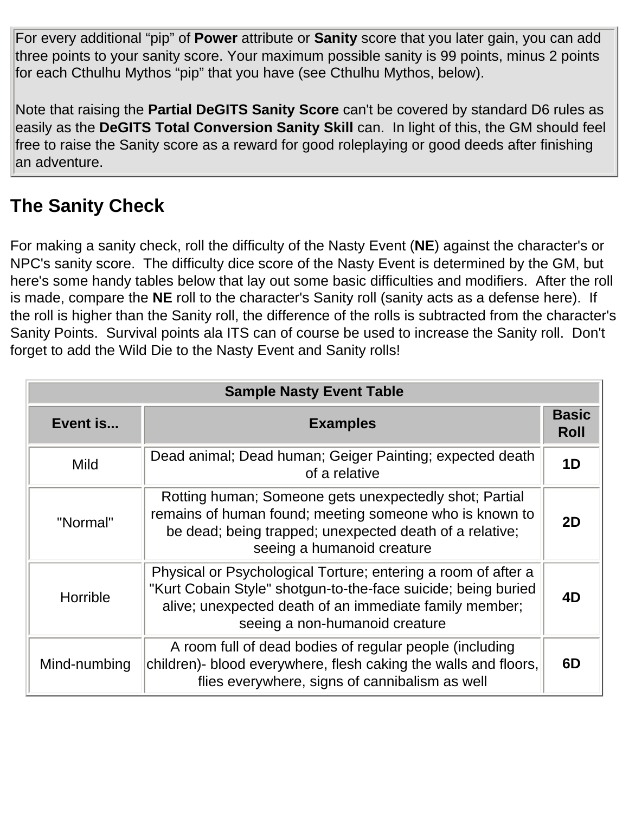For every additional "pip" of **Power** attribute or **Sanity** score that you later gain, you can add three points to your sanity score. Your maximum possible sanity is 99 points, minus 2 points for each Cthulhu Mythos "pip" that you have (see Cthulhu Mythos, below).

Note that raising the **Partial DeGITS Sanity Score** can't be covered by standard D6 rules as easily as the **DeGITS Total Conversion Sanity Skill** can. In light of this, the GM should feel free to raise the Sanity score as a reward for good roleplaying or good deeds after finishing an adventure.

### **The Sanity Check**

For making a sanity check, roll the difficulty of the Nasty Event (**NE**) against the character's or NPC's sanity score. The difficulty dice score of the Nasty Event is determined by the GM, but here's some handy tables below that lay out some basic difficulties and modifiers. After the roll is made, compare the **NE** roll to the character's Sanity roll (sanity acts as a defense here). If the roll is higher than the Sanity roll, the difference of the rolls is subtracted from the character's Sanity Points. Survival points ala ITS can of course be used to increase the Sanity roll. Don't forget to add the Wild Die to the Nasty Event and Sanity rolls!

| <b>Sample Nasty Event Table</b> |                                                                                                                                                                                                                            |                             |  |
|---------------------------------|----------------------------------------------------------------------------------------------------------------------------------------------------------------------------------------------------------------------------|-----------------------------|--|
| Event is<br><b>Examples</b>     |                                                                                                                                                                                                                            | <b>Basic</b><br><b>Roll</b> |  |
| <b>Mild</b>                     | Dead animal; Dead human; Geiger Painting; expected death<br>of a relative                                                                                                                                                  | 1 <sub>D</sub>              |  |
| "Normal"                        | Rotting human; Someone gets unexpectedly shot; Partial<br>remains of human found; meeting someone who is known to<br>be dead; being trapped; unexpected death of a relative;<br>seeing a humanoid creature                 | 2D                          |  |
| Horrible                        | Physical or Psychological Torture; entering a room of after a<br>"Kurt Cobain Style" shotgun-to-the-face suicide; being buried<br>alive; unexpected death of an immediate family member;<br>seeing a non-humanoid creature | 4D                          |  |
| Mind-numbing                    | A room full of dead bodies of regular people (including<br>children)- blood everywhere, flesh caking the walls and floors,<br>flies everywhere, signs of cannibalism as well                                               | 6D                          |  |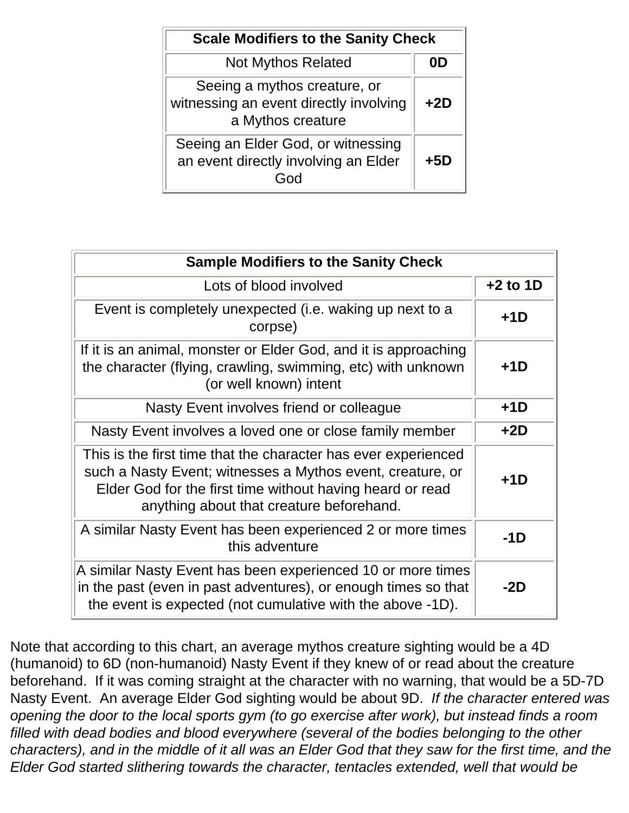| <b>Scale Modifiers to the Sanity Check</b>                                                  |       |  |
|---------------------------------------------------------------------------------------------|-------|--|
| <b>Not Mythos Related</b>                                                                   |       |  |
| Seeing a mythos creature, or<br>witnessing an event directly involving<br>a Mythos creature | $+2D$ |  |
| Seeing an Elder God, or witnessing<br>an event directly involving an Elder                  | +5D   |  |

| <b>Sample Modifiers to the Sanity Check</b>                                                                                                                                                                                           |            |  |  |
|---------------------------------------------------------------------------------------------------------------------------------------------------------------------------------------------------------------------------------------|------------|--|--|
| Lots of blood involved                                                                                                                                                                                                                | $+2$ to 1D |  |  |
| Event is completely unexpected (i.e. waking up next to a<br>corpse)                                                                                                                                                                   | $+1D$      |  |  |
| If it is an animal, monster or Elder God, and it is approaching<br>the character (flying, crawling, swimming, etc) with unknown<br>(or well known) intent                                                                             | $+1D$      |  |  |
| Nasty Event involves friend or colleague                                                                                                                                                                                              | $+1D$      |  |  |
| Nasty Event involves a loved one or close family member                                                                                                                                                                               | $+2D$      |  |  |
| This is the first time that the character has ever experienced<br>such a Nasty Event; witnesses a Mythos event, creature, or<br>Elder God for the first time without having heard or read<br>anything about that creature beforehand. | $+1D$      |  |  |
| A similar Nasty Event has been experienced 2 or more times<br>this adventure                                                                                                                                                          | $-1D$      |  |  |
| A similar Nasty Event has been experienced 10 or more times<br>in the past (even in past adventures), or enough times so that<br>the event is expected (not cumulative with the above -1D).                                           | $-2D$      |  |  |

Note that according to this chart, an average mythos creature sighting would be a 4D (humanoid) to 6D (non-humanoid) Nasty Event if they knew of or read about the creature beforehand. If it was coming straight at the character with no warning, that would be a 5D-7D Nasty Event. An average Elder God sighting would be about 9D. *If the character entered was opening the door to the local sports gym (to go exercise after work), but instead finds a room filled with dead bodies and blood everywhere (several of the bodies belonging to the other characters), and in the middle of it all was an Elder God that they saw for the first time, and the Elder God started slithering towards the character, tentacles extended, well that would be*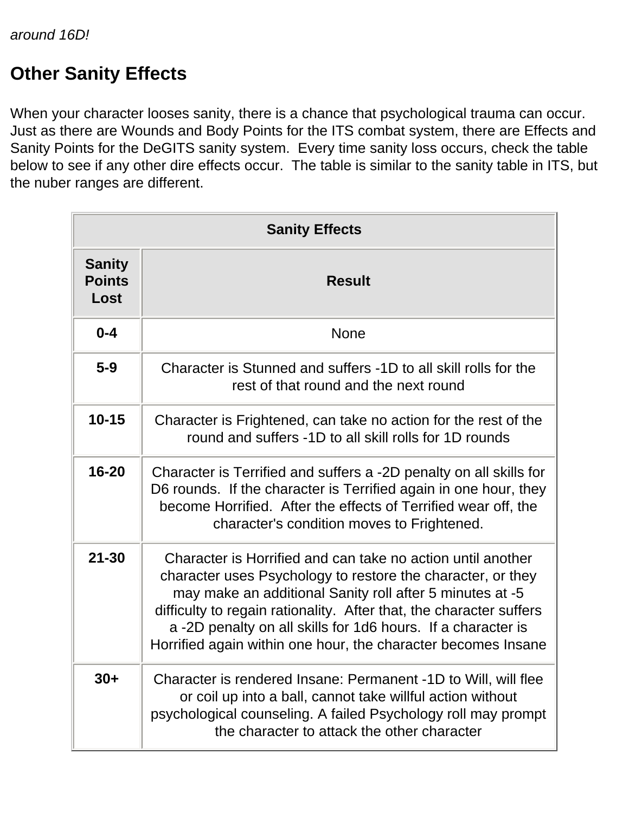### **Other Sanity Effects**

When your character looses sanity, there is a chance that psychological trauma can occur. Just as there are Wounds and Body Points for the ITS combat system, there are Effects and Sanity Points for the DeGITS sanity system. Every time sanity loss occurs, check the table below to see if any other dire effects occur. The table is similar to the sanity table in ITS, but the nuber ranges are different.

| <b>Sanity Effects</b>                  |                                                                                                                                                                                                                                                                                                                                                                                               |  |  |  |  |
|----------------------------------------|-----------------------------------------------------------------------------------------------------------------------------------------------------------------------------------------------------------------------------------------------------------------------------------------------------------------------------------------------------------------------------------------------|--|--|--|--|
| <b>Sanity</b><br><b>Points</b><br>Lost | <b>Result</b>                                                                                                                                                                                                                                                                                                                                                                                 |  |  |  |  |
| $0 - 4$                                | <b>None</b>                                                                                                                                                                                                                                                                                                                                                                                   |  |  |  |  |
| $5-9$                                  | Character is Stunned and suffers -1D to all skill rolls for the<br>rest of that round and the next round                                                                                                                                                                                                                                                                                      |  |  |  |  |
| $10 - 15$                              | Character is Frightened, can take no action for the rest of the<br>round and suffers -1D to all skill rolls for 1D rounds                                                                                                                                                                                                                                                                     |  |  |  |  |
| $16 - 20$                              | Character is Terrified and suffers a -2D penalty on all skills for<br>D6 rounds. If the character is Terrified again in one hour, they<br>become Horrified. After the effects of Terrified wear off, the<br>character's condition moves to Frightened.                                                                                                                                        |  |  |  |  |
| $21 - 30$                              | Character is Horrified and can take no action until another<br>character uses Psychology to restore the character, or they<br>may make an additional Sanity roll after 5 minutes at -5<br>difficulty to regain rationality. After that, the character suffers<br>a-2D penalty on all skills for 1d6 hours. If a character is<br>Horrified again within one hour, the character becomes Insane |  |  |  |  |
| $30+$                                  | Character is rendered Insane: Permanent -1D to Will, will flee<br>or coil up into a ball, cannot take willful action without<br>psychological counseling. A failed Psychology roll may prompt<br>the character to attack the other character                                                                                                                                                  |  |  |  |  |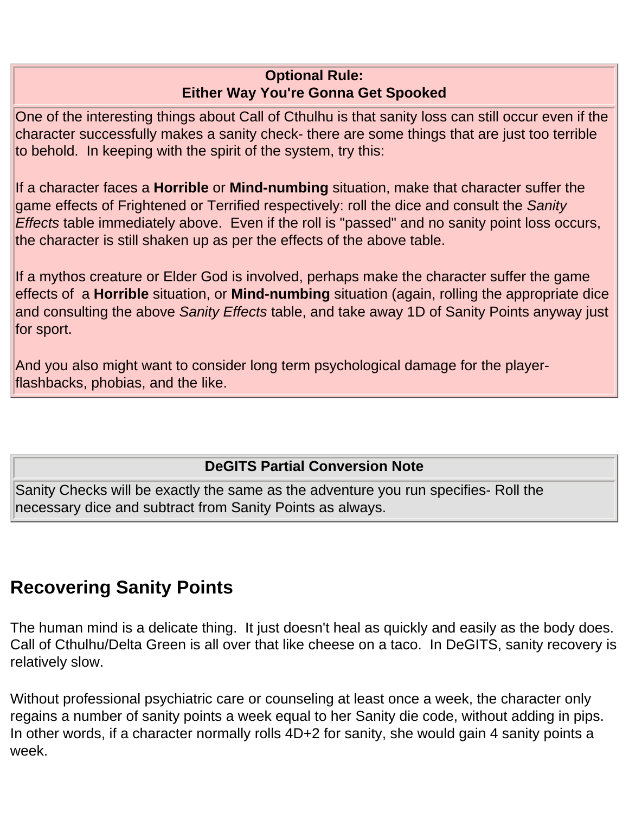#### **Optional Rule: Either Way You're Gonna Get Spooked**

One of the interesting things about Call of Cthulhu is that sanity loss can still occur even if the character successfully makes a sanity check- there are some things that are just too terrible to behold. In keeping with the spirit of the system, try this:

If a character faces a **Horrible** or **Mind-numbing** situation, make that character suffer the game effects of Frightened or Terrified respectively: roll the dice and consult the *Sanity Effects* table immediately above. Even if the roll is "passed" and no sanity point loss occurs, the character is still shaken up as per the effects of the above table.

If a mythos creature or Elder God is involved, perhaps make the character suffer the game effects of a **Horrible** situation, or **Mind-numbing** situation (again, rolling the appropriate dice and consulting the above *Sanity Effects* table, and take away 1D of Sanity Points anyway just for sport.

And you also might want to consider long term psychological damage for the playerflashbacks, phobias, and the like.

#### **DeGITS Partial Conversion Note**

Sanity Checks will be exactly the same as the adventure you run specifies- Roll the necessary dice and subtract from Sanity Points as always.

### **Recovering Sanity Points**

The human mind is a delicate thing. It just doesn't heal as quickly and easily as the body does. Call of Cthulhu/Delta Green is all over that like cheese on a taco. In DeGITS, sanity recovery is relatively slow.

Without professional psychiatric care or counseling at least once a week, the character only regains a number of sanity points a week equal to her Sanity die code, without adding in pips. In other words, if a character normally rolls 4D+2 for sanity, she would gain 4 sanity points a week.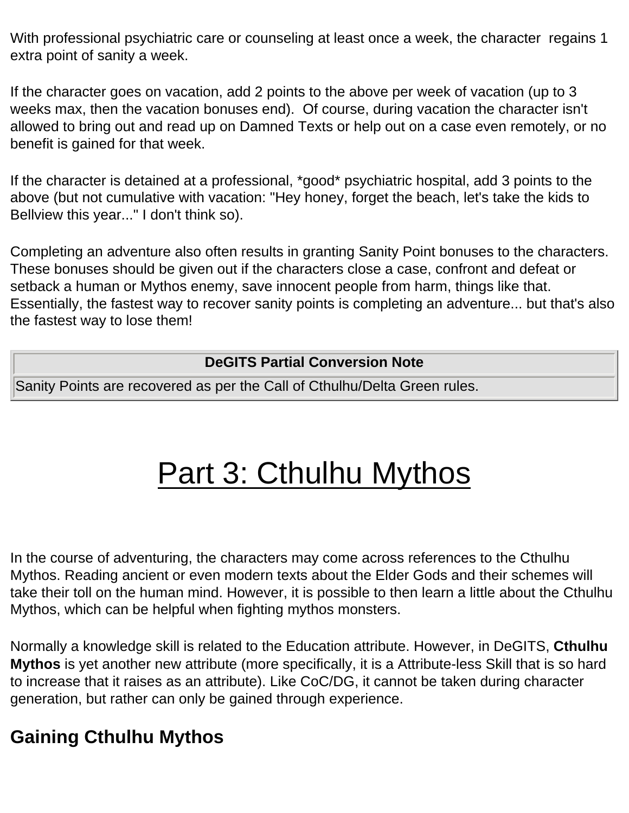With professional psychiatric care or counseling at least once a week, the character regains 1 extra point of sanity a week.

If the character goes on vacation, add 2 points to the above per week of vacation (up to 3 weeks max, then the vacation bonuses end). Of course, during vacation the character isn't allowed to bring out and read up on Damned Texts or help out on a case even remotely, or no benefit is gained for that week.

If the character is detained at a professional, \*good\* psychiatric hospital, add 3 points to the above (but not cumulative with vacation: "Hey honey, forget the beach, let's take the kids to Bellview this year..." I don't think so).

Completing an adventure also often results in granting Sanity Point bonuses to the characters. These bonuses should be given out if the characters close a case, confront and defeat or setback a human or Mythos enemy, save innocent people from harm, things like that. Essentially, the fastest way to recover sanity points is completing an adventure... but that's also the fastest way to lose them!

#### **DeGITS Partial Conversion Note**

<span id="page-11-0"></span>Sanity Points are recovered as per the Call of Cthulhu/Delta Green rules.

## Part 3: Cthulhu Mythos

In the course of adventuring, the characters may come across references to the Cthulhu Mythos. Reading ancient or even modern texts about the Elder Gods and their schemes will take their toll on the human mind. However, it is possible to then learn a little about the Cthulhu Mythos, which can be helpful when fighting mythos monsters.

Normally a knowledge skill is related to the Education attribute. However, in DeGITS, **Cthulhu Mythos** is yet another new attribute (more specifically, it is a Attribute-less Skill that is so hard to increase that it raises as an attribute). Like CoC/DG, it cannot be taken during character generation, but rather can only be gained through experience.

### **Gaining Cthulhu Mythos**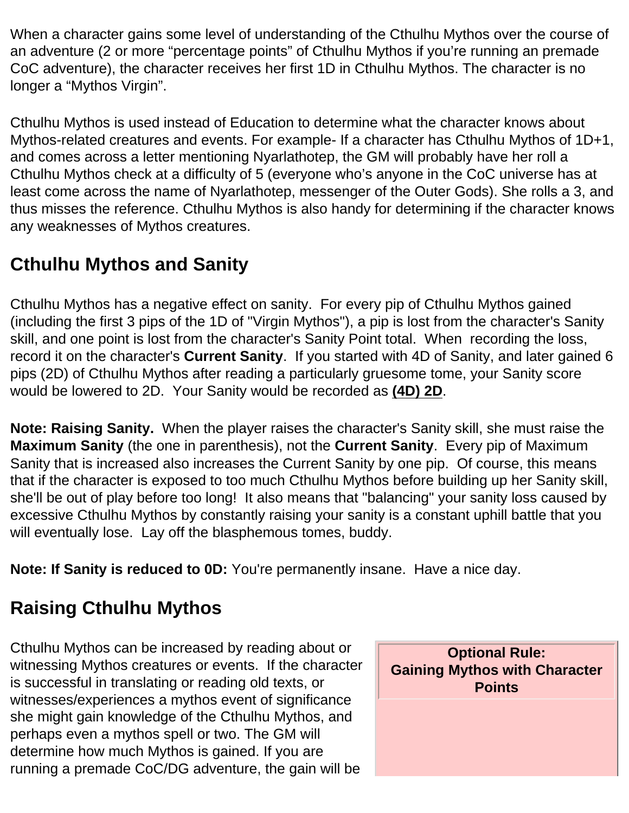When a character gains some level of understanding of the Cthulhu Mythos over the course of an adventure (2 or more "percentage points" of Cthulhu Mythos if you're running an premade CoC adventure), the character receives her first 1D in Cthulhu Mythos. The character is no longer a "Mythos Virgin".

Cthulhu Mythos is used instead of Education to determine what the character knows about Mythos-related creatures and events. For example- If a character has Cthulhu Mythos of 1D+1, and comes across a letter mentioning Nyarlathotep, the GM will probably have her roll a Cthulhu Mythos check at a difficulty of 5 (everyone who's anyone in the CoC universe has at least come across the name of Nyarlathotep, messenger of the Outer Gods). She rolls a 3, and thus misses the reference. Cthulhu Mythos is also handy for determining if the character knows any weaknesses of Mythos creatures.

### **Cthulhu Mythos and Sanity**

Cthulhu Mythos has a negative effect on sanity. For every pip of Cthulhu Mythos gained (including the first 3 pips of the 1D of "Virgin Mythos"), a pip is lost from the character's Sanity skill, and one point is lost from the character's Sanity Point total. When recording the loss, record it on the character's **Current Sanity**. If you started with 4D of Sanity, and later gained 6 pips (2D) of Cthulhu Mythos after reading a particularly gruesome tome, your Sanity score would be lowered to 2D. Your Sanity would be recorded as **(4D) 2D**.

**Note: Raising Sanity.** When the player raises the character's Sanity skill, she must raise the **Maximum Sanity** (the one in parenthesis), not the **Current Sanity**. Every pip of Maximum Sanity that is increased also increases the Current Sanity by one pip. Of course, this means that if the character is exposed to too much Cthulhu Mythos before building up her Sanity skill, she'll be out of play before too long! It also means that "balancing" your sanity loss caused by excessive Cthulhu Mythos by constantly raising your sanity is a constant uphill battle that you will eventually lose. Lay off the blasphemous tomes, buddy.

**Note: If Sanity is reduced to 0D:** You're permanently insane. Have a nice day.

### **Raising Cthulhu Mythos**

Cthulhu Mythos can be increased by reading about or witnessing Mythos creatures or events. If the character is successful in translating or reading old texts, or witnesses/experiences a mythos event of significance she might gain knowledge of the Cthulhu Mythos, and perhaps even a mythos spell or two. The GM will determine how much Mythos is gained. If you are running a premade CoC/DG adventure, the gain will be

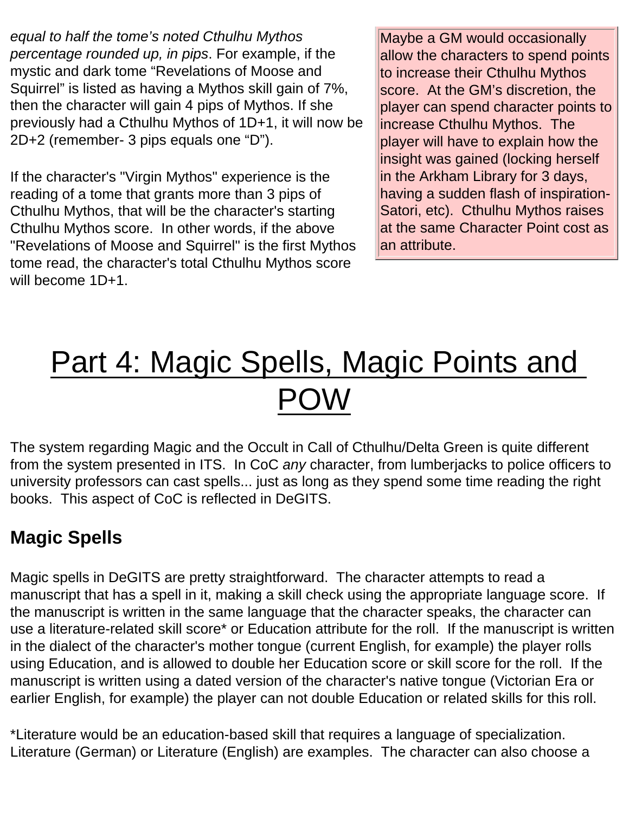*equal to half the tome's noted Cthulhu Mythos percentage rounded up, in pips*. For example, if the mystic and dark tome "Revelations of Moose and Squirrel" is listed as having a Mythos skill gain of 7%, then the character will gain 4 pips of Mythos. If she previously had a Cthulhu Mythos of 1D+1, it will now be 2D+2 (remember- 3 pips equals one "D").

If the character's "Virgin Mythos" experience is the reading of a tome that grants more than 3 pips of Cthulhu Mythos, that will be the character's starting Cthulhu Mythos score. In other words, if the above "Revelations of Moose and Squirrel" is the first Mythos tome read, the character's total Cthulhu Mythos score will become 1D+1.

Maybe a GM would occasionally allow the characters to spend points to increase their Cthulhu Mythos score. At the GM's discretion, the player can spend character points to increase Cthulhu Mythos. The player will have to explain how the insight was gained (locking herself in the Arkham Library for 3 days, having a sudden flash of inspiration-Satori, etc). Cthulhu Mythos raises at the same Character Point cost as an attribute.

## <span id="page-13-0"></span>Part 4: Magic Spells, Magic Points and POW

The system regarding Magic and the Occult in Call of Cthulhu/Delta Green is quite different from the system presented in ITS. In CoC *any* character, from lumberjacks to police officers to university professors can cast spells... just as long as they spend some time reading the right books. This aspect of CoC is reflected in DeGITS.

### **Magic Spells**

Magic spells in DeGITS are pretty straightforward. The character attempts to read a manuscript that has a spell in it, making a skill check using the appropriate language score. If the manuscript is written in the same language that the character speaks, the character can use a literature-related skill score\* or Education attribute for the roll. If the manuscript is written in the dialect of the character's mother tongue (current English, for example) the player rolls using Education, and is allowed to double her Education score or skill score for the roll. If the manuscript is written using a dated version of the character's native tongue (Victorian Era or earlier English, for example) the player can not double Education or related skills for this roll.

\*Literature would be an education-based skill that requires a language of specialization. Literature (German) or Literature (English) are examples. The character can also choose a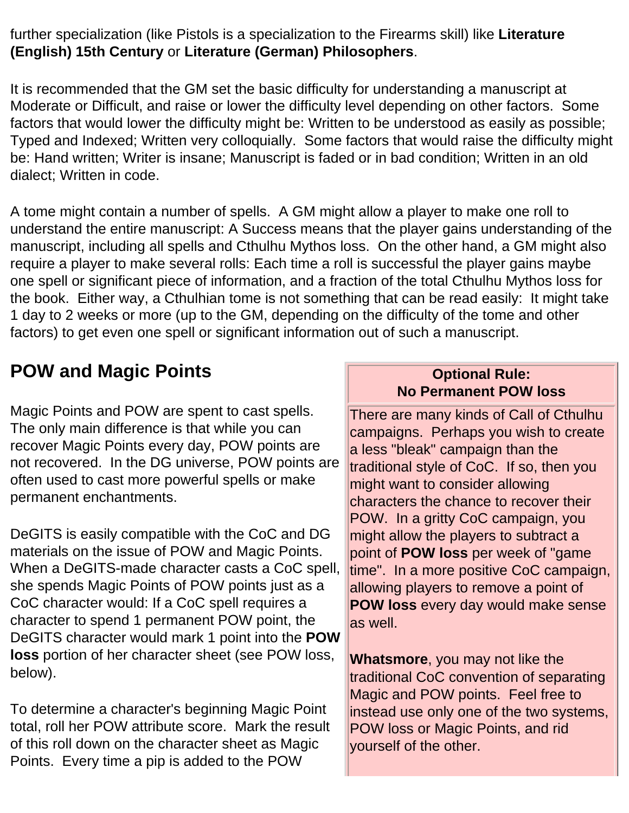further specialization (like Pistols is a specialization to the Firearms skill) like **Literature (English) 15th Century** or **Literature (German) Philosophers**.

It is recommended that the GM set the basic difficulty for understanding a manuscript at Moderate or Difficult, and raise or lower the difficulty level depending on other factors. Some factors that would lower the difficulty might be: Written to be understood as easily as possible; Typed and Indexed; Written very colloquially. Some factors that would raise the difficulty might be: Hand written; Writer is insane; Manuscript is faded or in bad condition; Written in an old dialect; Written in code.

A tome might contain a number of spells. A GM might allow a player to make one roll to understand the entire manuscript: A Success means that the player gains understanding of the manuscript, including all spells and Cthulhu Mythos loss. On the other hand, a GM might also require a player to make several rolls: Each time a roll is successful the player gains maybe one spell or significant piece of information, and a fraction of the total Cthulhu Mythos loss for the book. Either way, a Cthulhian tome is not something that can be read easily: It might take 1 day to 2 weeks or more (up to the GM, depending on the difficulty of the tome and other factors) to get even one spell or significant information out of such a manuscript.

### <span id="page-14-0"></span>**POW and Magic Points**

Magic Points and POW are spent to cast spells. The only main difference is that while you can recover Magic Points every day, POW points are not recovered. In the DG universe, POW points are often used to cast more powerful spells or make permanent enchantments.

DeGITS is easily compatible with the CoC and DG materials on the issue of POW and Magic Points. When a DeGITS-made character casts a CoC spell, she spends Magic Points of POW points just as a CoC character would: If a CoC spell requires a character to spend 1 permanent POW point, the DeGITS character would mark 1 point into the **POW loss** portion of her character sheet (see POW loss, below).

To determine a character's beginning Magic Point total, roll her POW attribute score. Mark the result of this roll down on the character sheet as Magic Points. Every time a pip is added to the POW

#### **Optional Rule: No Permanent POW loss**

There are many kinds of Call of Cthulhu campaigns. Perhaps you wish to create a less "bleak" campaign than the traditional style of CoC. If so, then you might want to consider allowing characters the chance to recover their POW. In a gritty CoC campaign, you might allow the players to subtract a point of **POW loss** per week of "game time". In a more positive CoC campaign, allowing players to remove a point of **POW loss** every day would make sense as well.

**Whatsmore**, you may not like the traditional CoC convention of separating Magic and POW points. Feel free to instead use only one of the two systems, POW loss or Magic Points, and rid yourself of the other.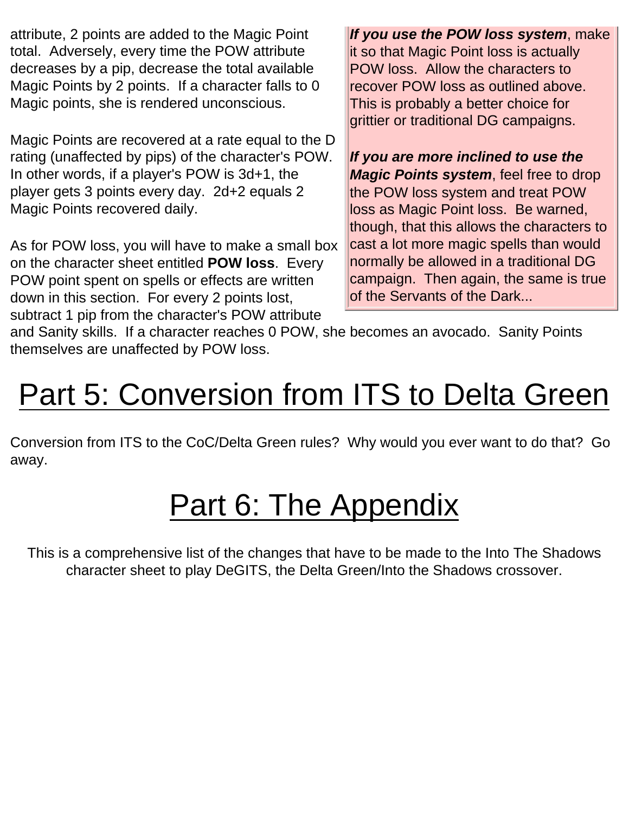attribute, 2 points are added to the Magic Point total. Adversely, every time the POW attribute decreases by a pip, decrease the total available Magic Points by 2 points. If a character falls to 0 Magic points, she is rendered unconscious.

Magic Points are recovered at a rate equal to the D rating (unaffected by pips) of the character's POW. In other words, if a player's POW is 3d+1, the player gets 3 points every day. 2d+2 equals 2 Magic Points recovered daily.

As for POW loss, you will have to make a small box on the character sheet entitled **POW loss**. Every POW point spent on spells or effects are written down in this section. For every 2 points lost, subtract 1 pip from the character's POW attribute

*If you use the POW loss system*, make it so that Magic Point loss is actually POW loss. Allow the characters to recover POW loss as outlined above. This is probably a better choice for grittier or traditional DG campaigns.

*If you are more inclined to use the Magic Points system*, feel free to drop the POW loss system and treat POW loss as Magic Point loss. Be warned, though, that this allows the characters to cast a lot more magic spells than would normally be allowed in a traditional DG campaign. Then again, the same is true of the Servants of the Dark...

and Sanity skills. If a character reaches 0 POW, she becomes an avocado. Sanity Points themselves are unaffected by POW loss.

# <span id="page-15-0"></span>Part 5: Conversion from ITS to Delta Green

<span id="page-15-1"></span>Conversion from ITS to the CoC/Delta Green rules? Why would you ever want to do that? Go away.

## Part 6: The Appendix

This is a comprehensive list of the changes that have to be made to the Into The Shadows character sheet to play DeGITS, the Delta Green/Into the Shadows crossover.